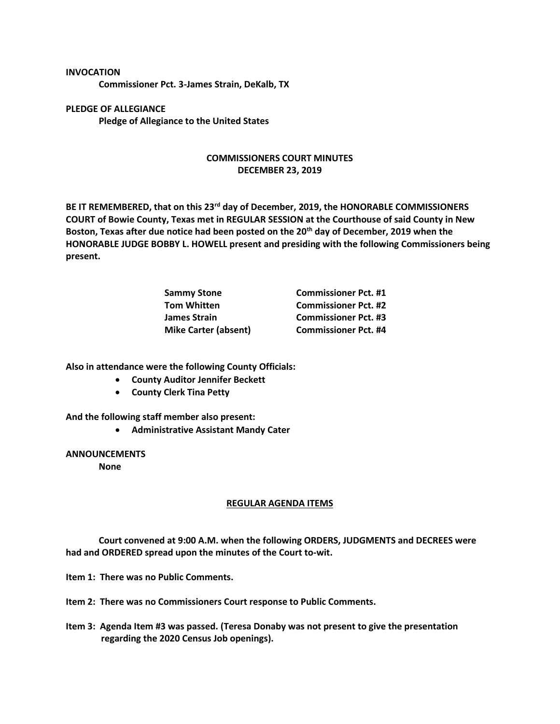**Commissioner Pct. 3-James Strain, DeKalb, TX**

**PLEDGE OF ALLEGIANCE Pledge of Allegiance to the United States**

**INVOCATION**

## **COMMISSIONERS COURT MINUTES DECEMBER 23, 2019**

**BE IT REMEMBERED, that on this 23rd day of December, 2019, the HONORABLE COMMISSIONERS COURT of Bowie County, Texas met in REGULAR SESSION at the Courthouse of said County in New Boston, Texas after due notice had been posted on the 20th day of December, 2019 when the HONORABLE JUDGE BOBBY L. HOWELL present and presiding with the following Commissioners being present.**

| Sammy Stone                 | <b>Commissioner Pct. #1</b> |
|-----------------------------|-----------------------------|
| <b>Tom Whitten</b>          | <b>Commissioner Pct. #2</b> |
| James Strain                | <b>Commissioner Pct. #3</b> |
| <b>Mike Carter (absent)</b> | <b>Commissioner Pct. #4</b> |

**Also in attendance were the following County Officials:**

- **County Auditor Jennifer Beckett**
- **County Clerk Tina Petty**

**And the following staff member also present:**

• **Administrative Assistant Mandy Cater**

**ANNOUNCEMENTS**

**None**

## **REGULAR AGENDA ITEMS**

**Court convened at 9:00 A.M. when the following ORDERS, JUDGMENTS and DECREES were had and ORDERED spread upon the minutes of the Court to-wit.**

**Item 1: There was no Public Comments.**

**Item 2: There was no Commissioners Court response to Public Comments.**

**Item 3: Agenda Item #3 was passed. (Teresa Donaby was not present to give the presentation regarding the 2020 Census Job openings).**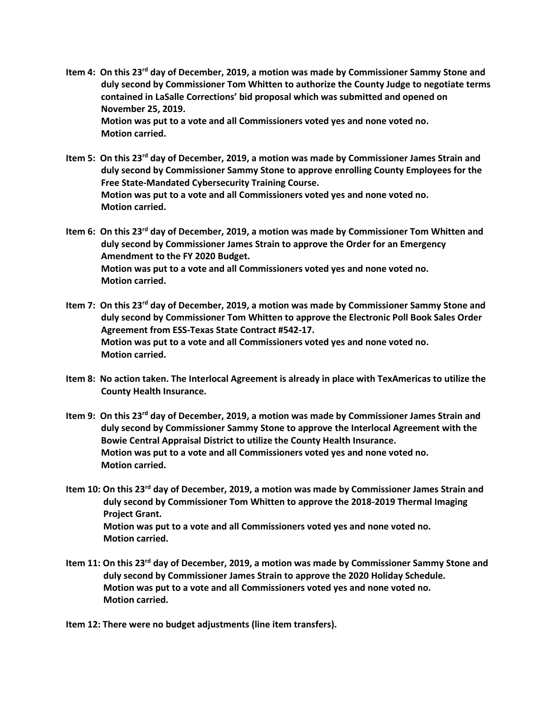- **Item 4: On this 23rd day of December, 2019, a motion was made by Commissioner Sammy Stone and duly second by Commissioner Tom Whitten to authorize the County Judge to negotiate terms contained in LaSalle Corrections' bid proposal which was submitted and opened on November 25, 2019. Motion was put to a vote and all Commissioners voted yes and none voted no. Motion carried.**
- **Item 5: On this 23rd day of December, 2019, a motion was made by Commissioner James Strain and duly second by Commissioner Sammy Stone to approve enrolling County Employees for the Free State-Mandated Cybersecurity Training Course. Motion was put to a vote and all Commissioners voted yes and none voted no. Motion carried.**
- **Item 6: On this 23rd day of December, 2019, a motion was made by Commissioner Tom Whitten and duly second by Commissioner James Strain to approve the Order for an Emergency Amendment to the FY 2020 Budget. Motion was put to a vote and all Commissioners voted yes and none voted no. Motion carried.**
- **Item 7: On this 23rd day of December, 2019, a motion was made by Commissioner Sammy Stone and duly second by Commissioner Tom Whitten to approve the Electronic Poll Book Sales Order Agreement from ESS-Texas State Contract #542-17. Motion was put to a vote and all Commissioners voted yes and none voted no. Motion carried.**
- **Item 8: No action taken. The Interlocal Agreement is already in place with TexAmericas to utilize the County Health Insurance.**
- **Item 9: On this 23rd day of December, 2019, a motion was made by Commissioner James Strain and duly second by Commissioner Sammy Stone to approve the Interlocal Agreement with the Bowie Central Appraisal District to utilize the County Health Insurance. Motion was put to a vote and all Commissioners voted yes and none voted no. Motion carried.**
- **Item 10: On this 23rd day of December, 2019, a motion was made by Commissioner James Strain and duly second by Commissioner Tom Whitten to approve the 2018-2019 Thermal Imaging Project Grant. Motion was put to a vote and all Commissioners voted yes and none voted no. Motion carried.**
- **Item 11: On this 23rd day of December, 2019, a motion was made by Commissioner Sammy Stone and duly second by Commissioner James Strain to approve the 2020 Holiday Schedule. Motion was put to a vote and all Commissioners voted yes and none voted no. Motion carried.**

**Item 12: There were no budget adjustments (line item transfers).**